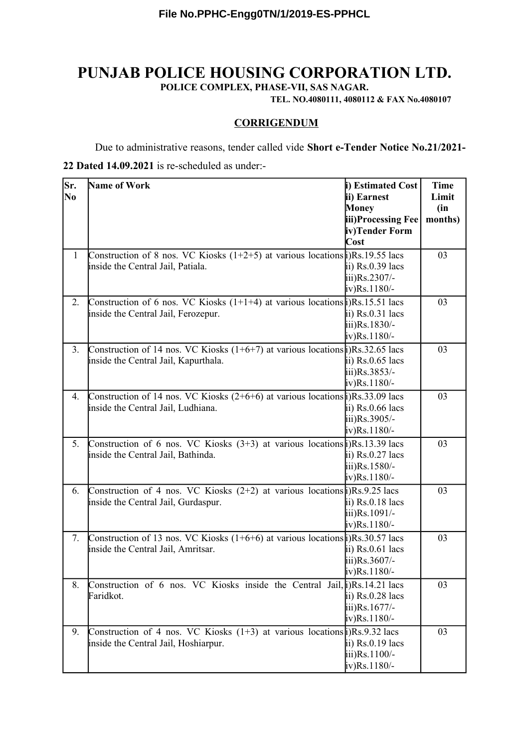# **PUNJAB POLICE HOUSING CORPORATION LTD.**

**POLICE COMPLEX, PHASE-VII, SAS NAGAR.**

**TEL. NO.4080111, 4080112 & FAX No.4080107**

#### **CORRIGENDUM**

Due to administrative reasons, tender called vide **Short e-Tender Notice No.21/2021-**

#### **22 Dated 14.09.2021** is re-scheduled as under:-

| Sr.<br>N <sub>0</sub> | Name of Work                                                                                                                                             | i) Estimated Cost<br>ii) Earnest<br>Money<br>iii)Processing Fee<br>iv)Tender Form | <b>Time</b><br>Limit<br>(in)<br>months) |
|-----------------------|----------------------------------------------------------------------------------------------------------------------------------------------------------|-----------------------------------------------------------------------------------|-----------------------------------------|
| $\mathbf{1}$          | Construction of 8 nos. VC Kiosks $(1+2+5)$ at various locations $\hat{\mu}$ )Rs. 19.55 lacs<br>inside the Central Jail, Patiala.                         | Cost<br>$\overline{ii}$ ) Rs.0.39 lacs<br>iii)Rs.2307/-<br>$iv)$ Rs. 1180/-       | 03                                      |
| 2.                    | Construction of 6 nos. VC Kiosks $(1+1+4)$ at various locations $\hat{\mu}$ )Rs. 15.51 lacs<br>inside the Central Jail, Ferozepur.                       | $\overline{ii}$ ) Rs.0.31 lacs<br>iii)Rs.1830/-<br>$iv)$ Rs. 1180/-               | 03                                      |
| 3.                    | Construction of 14 nos. VC Kiosks $(1+6+7)$ at various locations $\hat{\mu}$ )Rs.32.65 lacs<br>inside the Central Jail, Kapurthala.                      | ii) $Rs.0.65$ lacs<br>iii)Rs.3853/-<br>$iv)$ Rs. 1180/-                           | 03                                      |
| 4.                    | Construction of 14 nos. VC Kiosks $(2+6+6)$ at various locations $\frac{1}{2}$ Rs.33.09 lacs<br>inside the Central Jail, Ludhiana.                       | $\overline{a}$ ii) Rs.0.66 lacs<br>iii)Rs.3905/-<br>$iv)$ Rs. 1180/-              | 03                                      |
| 5.                    | Construction of 6 nos. VC Kiosks $(3+3)$ at various locations (i)Rs. 13.39 lacs<br>inside the Central Jail, Bathinda.                                    | ii) $Rs.0.27$ lacs<br>iii)Rs.1580/-<br>$iv)$ Rs. 1180/-                           | 03                                      |
| 6.                    | Construction of 4 nos. VC Kiosks $(2+2)$ at various locations $\frac{1}{2}$ )Rs.9.25 lacs<br>inside the Central Jail, Gurdaspur.                         | ii) Rs.0.18 lacs<br>iii)Rs.1091/-<br>$iv)$ Rs. 1180/-                             | 03                                      |
| 7.                    | Construction of 13 nos. VC Kiosks $(1+6+6)$ at various locations $\frac{1}{2}$ Rs. 30.57 lacs<br>inside the Central Jail, Amritsar.                      | $\overline{ii}$ ) Rs.0.61 lacs<br>iii)Rs.3607/-<br>$iv)$ Rs. 1180/-               | 03                                      |
| 8.                    | Construction of 6 nos. VC Kiosks inside the Central Jail, $\hat{\mu}$ )Rs. 14.21 lacs<br>Faridkot.                                                       | $\overline{ii}$ ) Rs.0.28 lacs<br>iii)Rs.1677/-<br>$iv)$ Rs. 1180/-               | 03                                      |
| 9.                    | Construction of 4 nos. VC Kiosks $(1+3)$ at various locations $\frac{1}{R}$ , $\frac{1}{R}$ , $\frac{1}{2}$ lacs<br>inside the Central Jail, Hoshiarpur. | ii) $Rs.0.19$ lacs<br>iii)Rs.1100/-<br>$iv)$ Rs. 1180/-                           | 03                                      |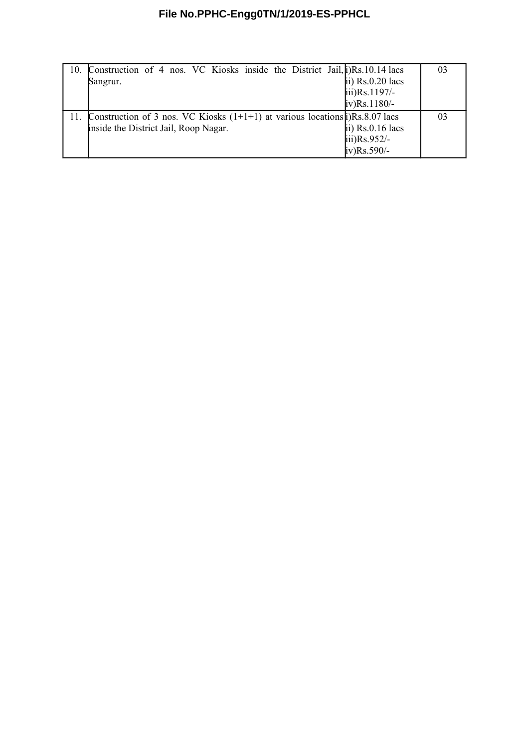## **File No.PPHC-Engg0TN/1/2019-ES-PPHCL**

| 10. Construction of 4 nos. VC Kiosks inside the District Jail, $j/Rs$ . 10.14 lacs         |                                 | 03 |
|--------------------------------------------------------------------------------------------|---------------------------------|----|
| Sangrur.                                                                                   | $\overline{p}$ ii) Rs.0.20 lacs |    |
|                                                                                            | $\text{iii)}\text{Rs}.1197/-$   |    |
|                                                                                            | $iv)$ Rs. 1180/-                |    |
| 11. Construction of 3 nos. VC Kiosks $(1+1+1)$ at various locations $\sharp$ )Rs.8.07 lacs |                                 | 03 |
| inside the District Jail, Roop Nagar.                                                      | $\overline{ii}$ ) Rs.0.16 lacs  |    |
|                                                                                            | $\text{iii)}\text{Rs}.952/-$    |    |
|                                                                                            | $iv)$ Rs.590/-                  |    |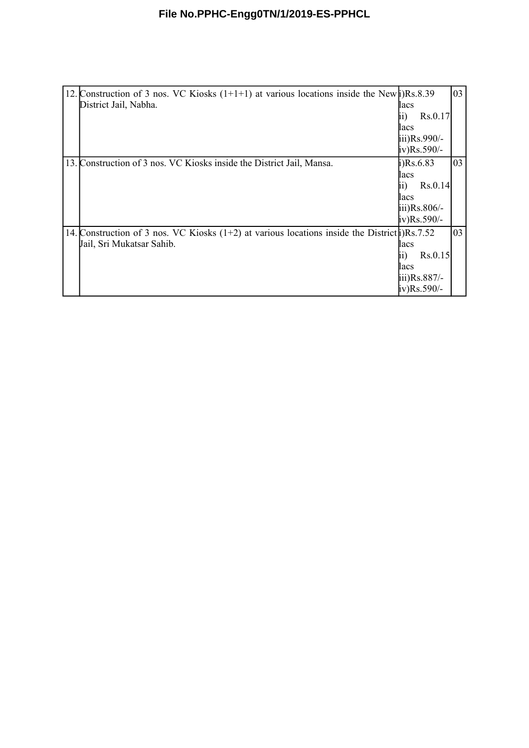## **File No.PPHC-Engg0TN/1/2019-ES-PPHCL**

| 12. Construction of 3 nos. VC Kiosks $(1+1+1)$ at various locations inside the New $\mu$ )Rs.8.39<br>District Jail, Nabha.     | lacs<br>Rs.0.17<br>II.<br>lacs<br>iii)Rs.990/-<br>iv)Rs.590/-                               | 03 |
|--------------------------------------------------------------------------------------------------------------------------------|---------------------------------------------------------------------------------------------|----|
| 13. Construction of 3 nos. VC Kiosks inside the District Jail, Mansa.                                                          | $i)$ Rs.6.83<br>lacs<br>Rs.0.14<br>11)<br>lacs<br>$\overline{111}$ )Rs.806/-<br>iv)Rs.590/- | 03 |
| 14. Construction of 3 nos. VC Kiosks $(1+2)$ at various locations inside the District i) Rs. 7.52<br>Jail, Sri Mukatsar Sahib. | lacs<br>Rs.0.15<br>[11]<br>lacs<br>$\overline{111}$ )Rs.887/-<br>iv)Rs.590/-                | 03 |